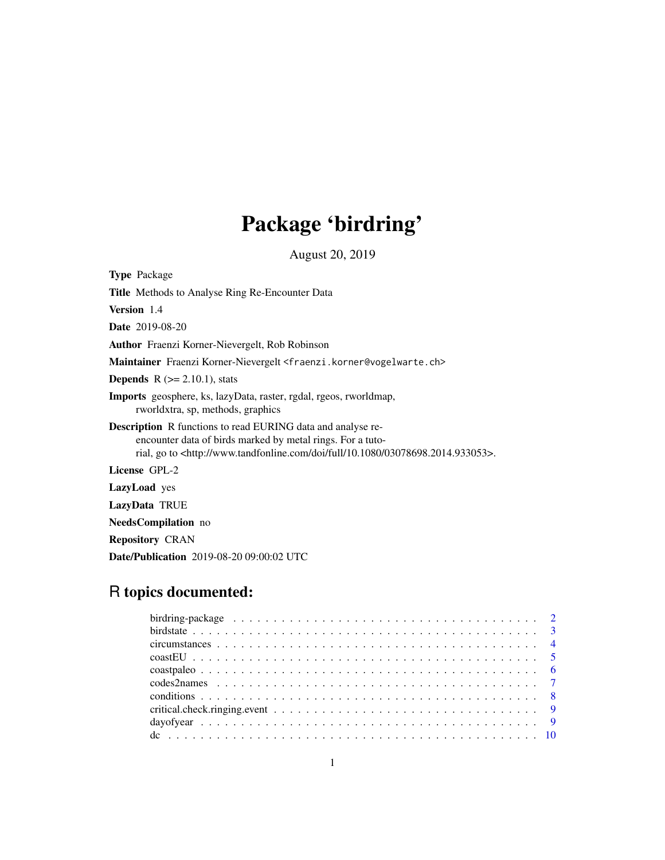# Package 'birdring'

August 20, 2019

<span id="page-0-0"></span>

| <b>Type</b> Package                                                                                                                                                                                                                       |
|-------------------------------------------------------------------------------------------------------------------------------------------------------------------------------------------------------------------------------------------|
| Title Methods to Analyse Ring Re-Encounter Data                                                                                                                                                                                           |
| <b>Version</b> 1.4                                                                                                                                                                                                                        |
| <b>Date</b> 2019-08-20                                                                                                                                                                                                                    |
| <b>Author</b> Fraenzi Korner-Nievergelt, Rob Robinson                                                                                                                                                                                     |
| Maintainer Fraenzi Korner-Nievergelt <fraenzi.korner@vogelwarte.ch></fraenzi.korner@vogelwarte.ch>                                                                                                                                        |
| <b>Depends</b> $R (= 2.10.1)$ , stats                                                                                                                                                                                                     |
| <b>Imports</b> geosphere, ks, lazyData, raster, rgdal, rgeos, rworldmap,<br>rworldxtra, sp. methods, graphics                                                                                                                             |
| <b>Description</b> R functions to read EURING data and analyse re-<br>encounter data of birds marked by metal rings. For a tuto-<br>rial, go to <http: 03078698.2014.933053="" 10.1080="" doi="" full="" www.tandfonline.com="">.</http:> |
| License GPL-2                                                                                                                                                                                                                             |
| <b>LazyLoad</b> yes                                                                                                                                                                                                                       |
| LazyData TRUE                                                                                                                                                                                                                             |
| <b>NeedsCompilation</b> no                                                                                                                                                                                                                |

Repository CRAN

Date/Publication 2019-08-20 09:00:02 UTC

# R topics documented: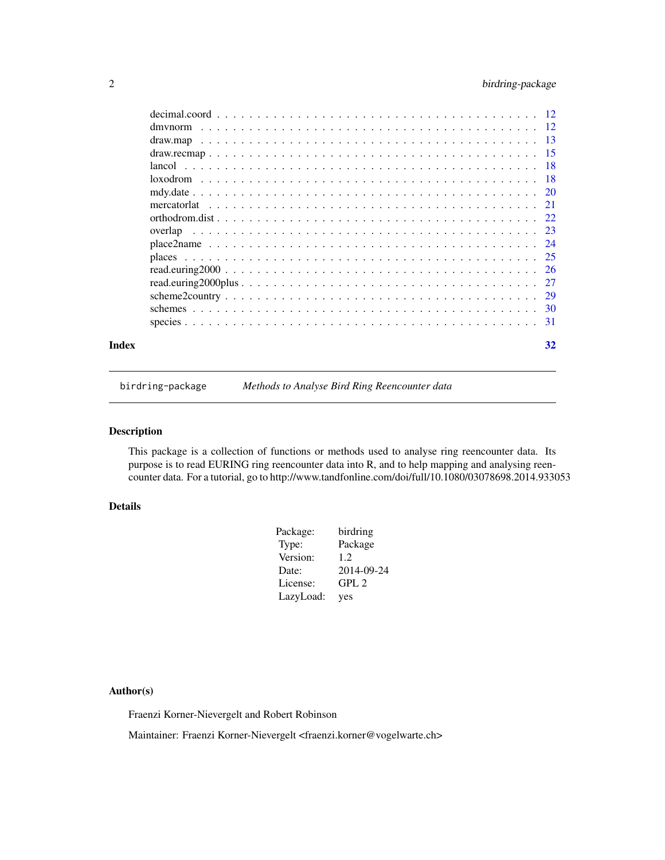# <span id="page-1-0"></span>2 birdring-package

| Index | 32 |
|-------|----|
|       |    |

birdring-package *Methods to Analyse Bird Ring Reencounter data*

# Description

This package is a collection of functions or methods used to analyse ring reencounter data. Its purpose is to read EURING ring reencounter data into R, and to help mapping and analysing reencounter data. For a tutorial, go to http://www.tandfonline.com/doi/full/10.1080/03078698.2014.933053

# Details

| Package:  | birdring         |
|-----------|------------------|
| Type:     | Package          |
| Version:  | 1.2.             |
| Date:     | 2014-09-24       |
| License:  | GPL <sub>2</sub> |
| LazyLoad: | yes              |

# Author(s)

Fraenzi Korner-Nievergelt and Robert Robinson

Maintainer: Fraenzi Korner-Nievergelt <fraenzi.korner@vogelwarte.ch>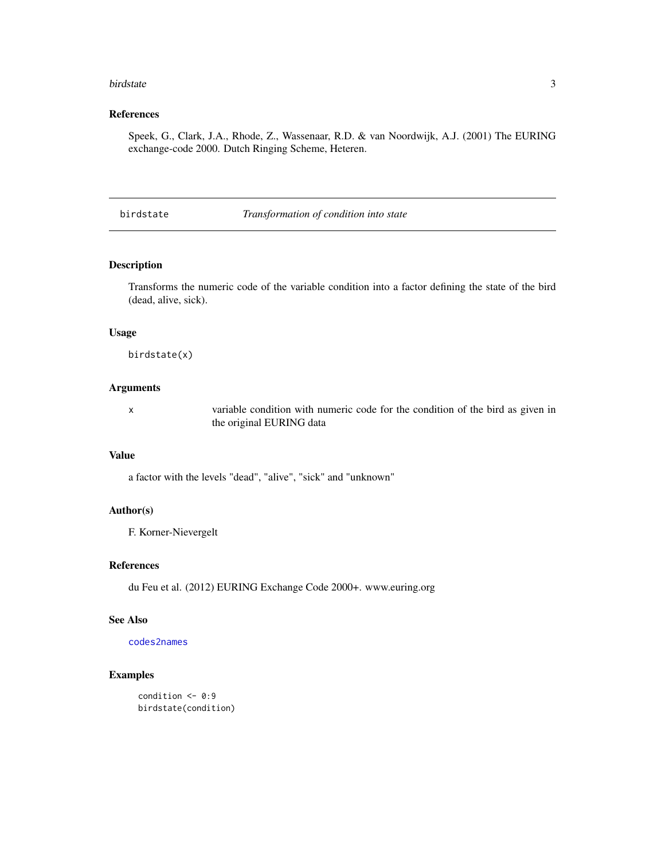#### <span id="page-2-0"></span>birdstate 3

# References

Speek, G., Clark, J.A., Rhode, Z., Wassenaar, R.D. & van Noordwijk, A.J. (2001) The EURING exchange-code 2000. Dutch Ringing Scheme, Heteren.

birdstate *Transformation of condition into state*

# Description

Transforms the numeric code of the variable condition into a factor defining the state of the bird (dead, alive, sick).

#### Usage

birdstate(x)

# Arguments

x variable condition with numeric code for the condition of the bird as given in the original EURING data

# Value

a factor with the levels "dead", "alive", "sick" and "unknown"

#### Author(s)

F. Korner-Nievergelt

# References

du Feu et al. (2012) EURING Exchange Code 2000+. www.euring.org

# See Also

[codes2names](#page-6-1)

# Examples

condition  $<-0:9$ birdstate(condition)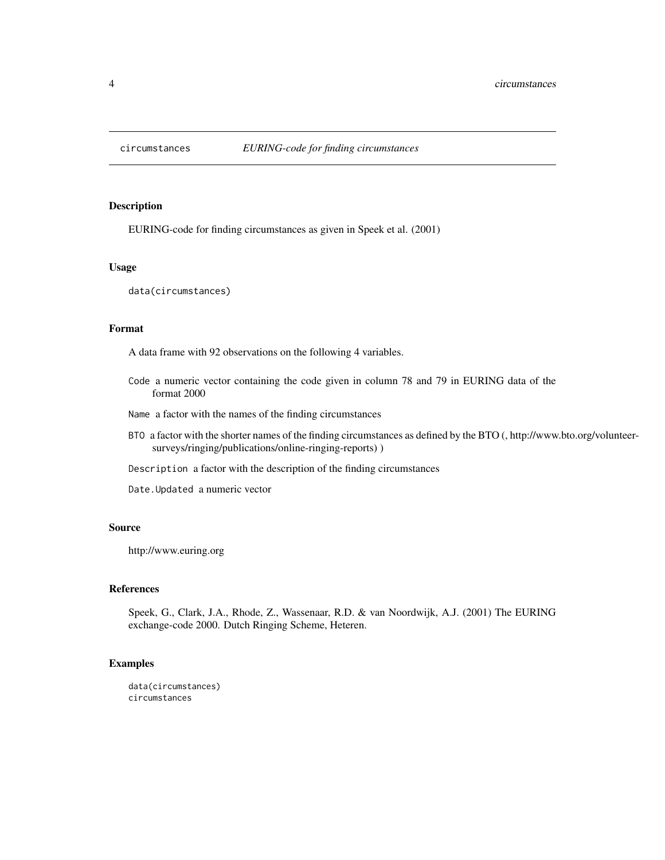<span id="page-3-0"></span>

EURING-code for finding circumstances as given in Speek et al. (2001)

### Usage

data(circumstances)

# Format

A data frame with 92 observations on the following 4 variables.

- Code a numeric vector containing the code given in column 78 and 79 in EURING data of the format 2000
- Name a factor with the names of the finding circumstances
- BTO a factor with the shorter names of the finding circumstances as defined by the BTO (, http://www.bto.org/volunteersurveys/ringing/publications/online-ringing-reports) )
- Description a factor with the description of the finding circumstances

Date.Updated a numeric vector

#### Source

http://www.euring.org

# References

Speek, G., Clark, J.A., Rhode, Z., Wassenaar, R.D. & van Noordwijk, A.J. (2001) The EURING exchange-code 2000. Dutch Ringing Scheme, Heteren.

# Examples

```
data(circumstances)
circumstances
```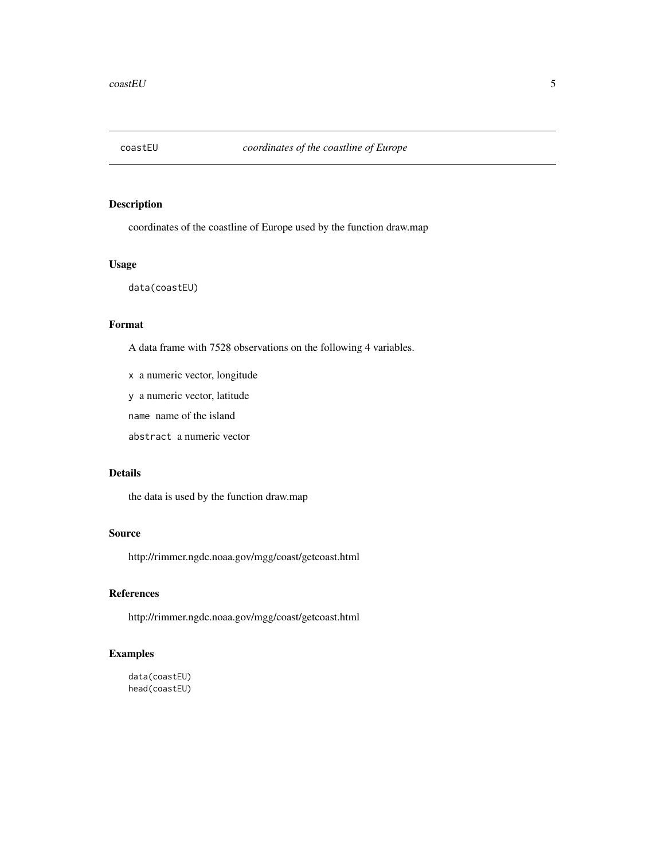<span id="page-4-0"></span>

coordinates of the coastline of Europe used by the function draw.map

# Usage

data(coastEU)

# Format

A data frame with 7528 observations on the following 4 variables.

x a numeric vector, longitude

y a numeric vector, latitude

name name of the island

abstract a numeric vector

# Details

the data is used by the function draw.map

# Source

http://rimmer.ngdc.noaa.gov/mgg/coast/getcoast.html

# References

http://rimmer.ngdc.noaa.gov/mgg/coast/getcoast.html

# Examples

data(coastEU) head(coastEU)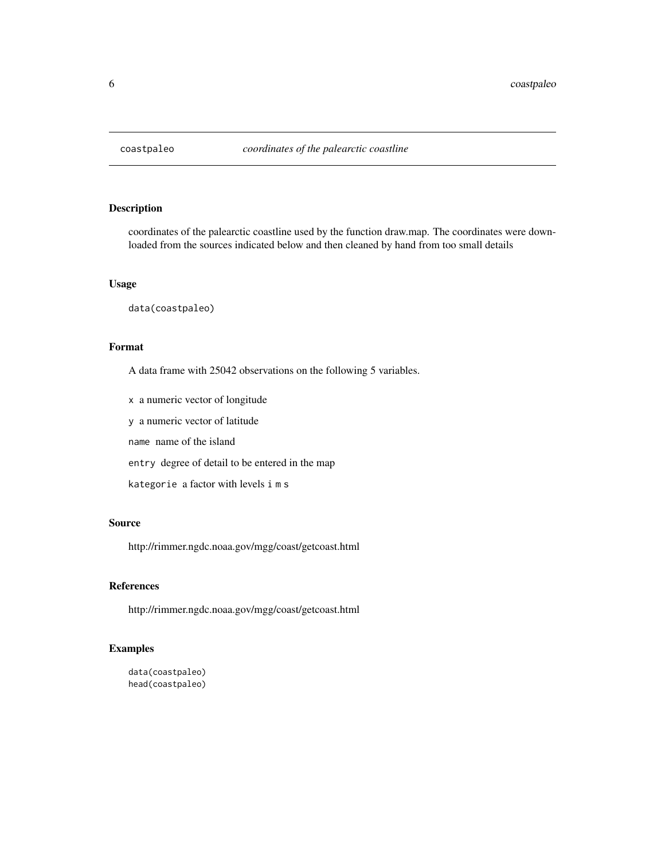<span id="page-5-0"></span>

coordinates of the palearctic coastline used by the function draw.map. The coordinates were downloaded from the sources indicated below and then cleaned by hand from too small details

#### Usage

data(coastpaleo)

# Format

A data frame with 25042 observations on the following 5 variables.

x a numeric vector of longitude

y a numeric vector of latitude

name name of the island

entry degree of detail to be entered in the map

kategorie a factor with levels i m s

#### Source

http://rimmer.ngdc.noaa.gov/mgg/coast/getcoast.html

# References

http://rimmer.ngdc.noaa.gov/mgg/coast/getcoast.html

# Examples

```
data(coastpaleo)
head(coastpaleo)
```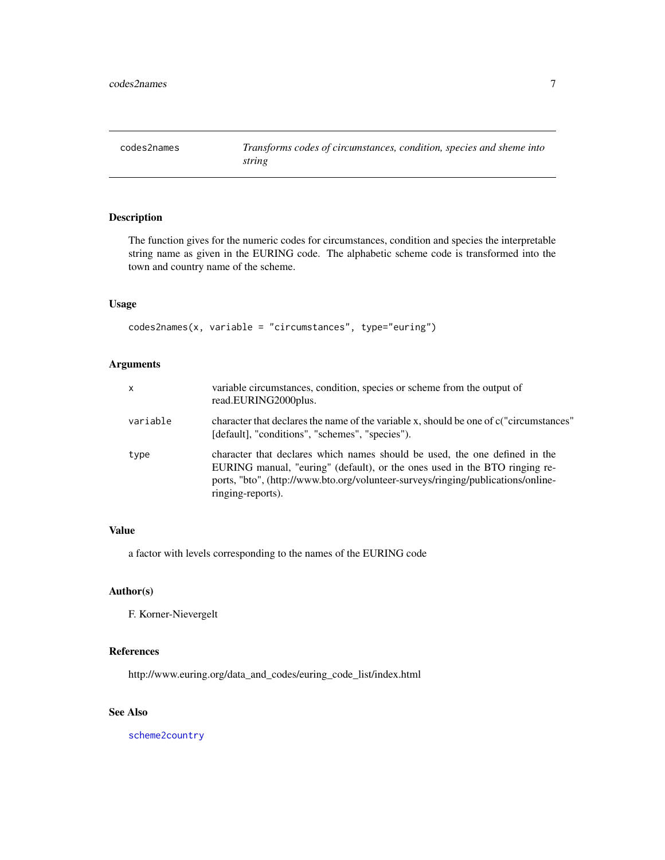<span id="page-6-1"></span><span id="page-6-0"></span>

The function gives for the numeric codes for circumstances, condition and species the interpretable string name as given in the EURING code. The alphabetic scheme code is transformed into the town and country name of the scheme.

# Usage

codes2names(x, variable = "circumstances", type="euring")

# Arguments

| $\mathsf{x}$ | variable circumstances, condition, species or scheme from the output of<br>read.EURING2000plus.                                                                                                                                                                   |
|--------------|-------------------------------------------------------------------------------------------------------------------------------------------------------------------------------------------------------------------------------------------------------------------|
| variable     | character that declares the name of the variable x, should be one of c("circumstances"<br>[default], "conditions", "schemes", "species").                                                                                                                         |
| type         | character that declares which names should be used, the one defined in the<br>EURING manual, "euring" (default), or the ones used in the BTO ringing re-<br>ports, "bto", (http://www.bto.org/volunteer-surveys/ringing/publications/online-<br>ringing-reports). |

#### Value

a factor with levels corresponding to the names of the EURING code

# Author(s)

F. Korner-Nievergelt

# References

http://www.euring.org/data\_and\_codes/euring\_code\_list/index.html

# See Also

[scheme2country](#page-28-1)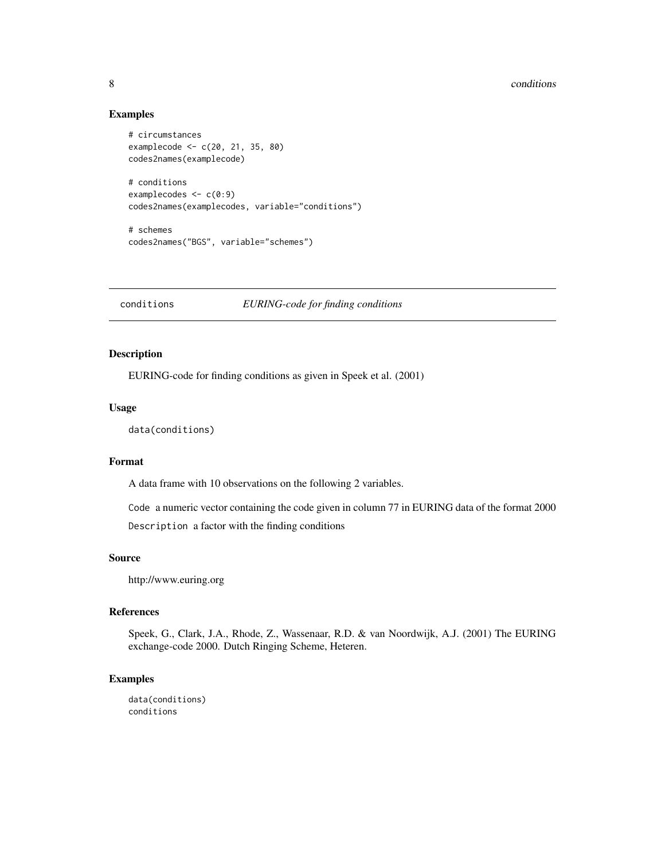#### 8 conditions are not conditions of the conditions of the conditions of the conditions of the conditions of the conditions of the conditions of the conditions of the conditions of the conditions of the conditions of the con

#### Examples

```
# circumstances
examplecode <- c(20, 21, 35, 80)
codes2names(examplecode)
# conditions
examplecodes \leq c(0:9)
codes2names(examplecodes, variable="conditions")
# schemes
codes2names("BGS", variable="schemes")
```
conditions *EURING-code for finding conditions*

# Description

EURING-code for finding conditions as given in Speek et al. (2001)

#### Usage

```
data(conditions)
```
#### Format

A data frame with 10 observations on the following 2 variables.

Code a numeric vector containing the code given in column 77 in EURING data of the format 2000 Description a factor with the finding conditions

#### Source

http://www.euring.org

# References

Speek, G., Clark, J.A., Rhode, Z., Wassenaar, R.D. & van Noordwijk, A.J. (2001) The EURING exchange-code 2000. Dutch Ringing Scheme, Heteren.

#### Examples

data(conditions) conditions

<span id="page-7-0"></span>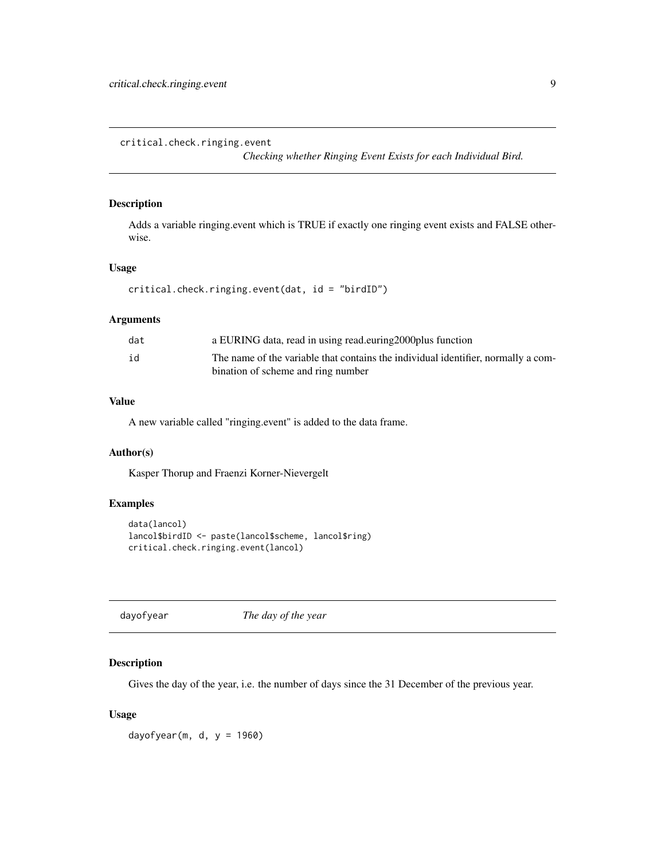<span id="page-8-0"></span>critical.check.ringing.event

*Checking whether Ringing Event Exists for each Individual Bird.*

# Description

Adds a variable ringing.event which is TRUE if exactly one ringing event exists and FALSE otherwise.

# Usage

```
critical.check.ringing.event(dat, id = "birdID")
```
# Arguments

| dat | a EURING data, read in using read.euring 2000 plus function                       |
|-----|-----------------------------------------------------------------------------------|
| id  | The name of the variable that contains the individual identifier, normally a com- |
|     | bination of scheme and ring number                                                |

# Value

A new variable called "ringing.event" is added to the data frame.

#### Author(s)

Kasper Thorup and Fraenzi Korner-Nievergelt

#### Examples

```
data(lancol)
lancol$birdID <- paste(lancol$scheme, lancol$ring)
critical.check.ringing.event(lancol)
```
dayofyear *The day of the year*

# Description

Gives the day of the year, i.e. the number of days since the 31 December of the previous year.

# Usage

dayofyear(m, d,  $y = 1960$ )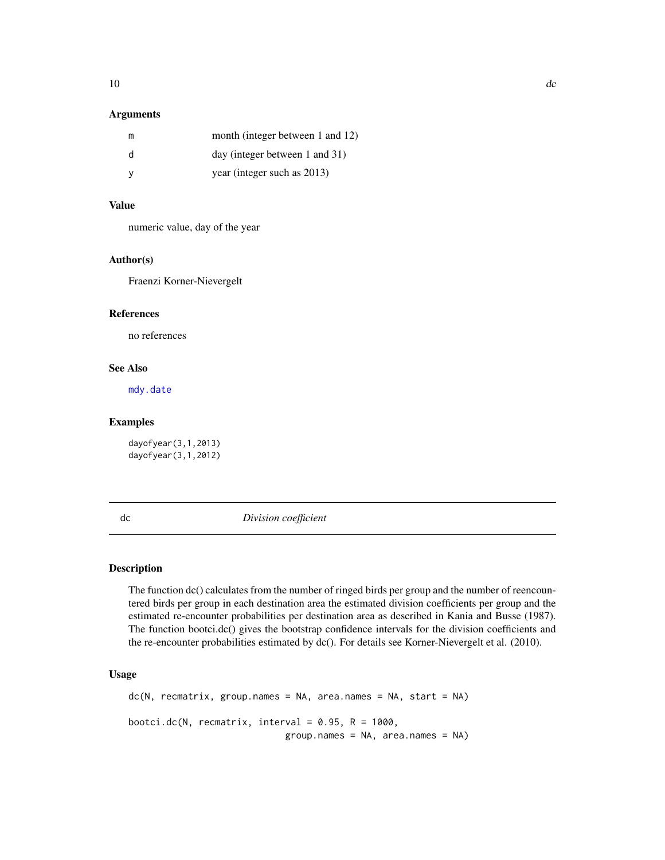# <span id="page-9-0"></span>Arguments

| m | month (integer between 1 and 12) |
|---|----------------------------------|
| d | $day$ (integer between 1 and 31) |
| v | year (integer such as 2013)      |

#### Value

numeric value, day of the year

#### Author(s)

Fraenzi Korner-Nievergelt

# References

no references

# See Also

[mdy.date](#page-19-1)

#### Examples

dayofyear(3,1,2013) dayofyear(3,1,2012)

dc *Division coefficient*

# Description

The function dc() calculates from the number of ringed birds per group and the number of reencountered birds per group in each destination area the estimated division coefficients per group and the estimated re-encounter probabilities per destination area as described in Kania and Busse (1987). The function bootci.dc() gives the bootstrap confidence intervals for the division coefficients and the re-encounter probabilities estimated by dc(). For details see Korner-Nievergelt et al. (2010).

# Usage

 $dc(N, recmatrix, group.names = NA, area.names = NA, start = NA)$ bootci.dc(N, recmatrix, interval =  $0.95$ , R = 1000,  $group.name = NA, area.name = NA)$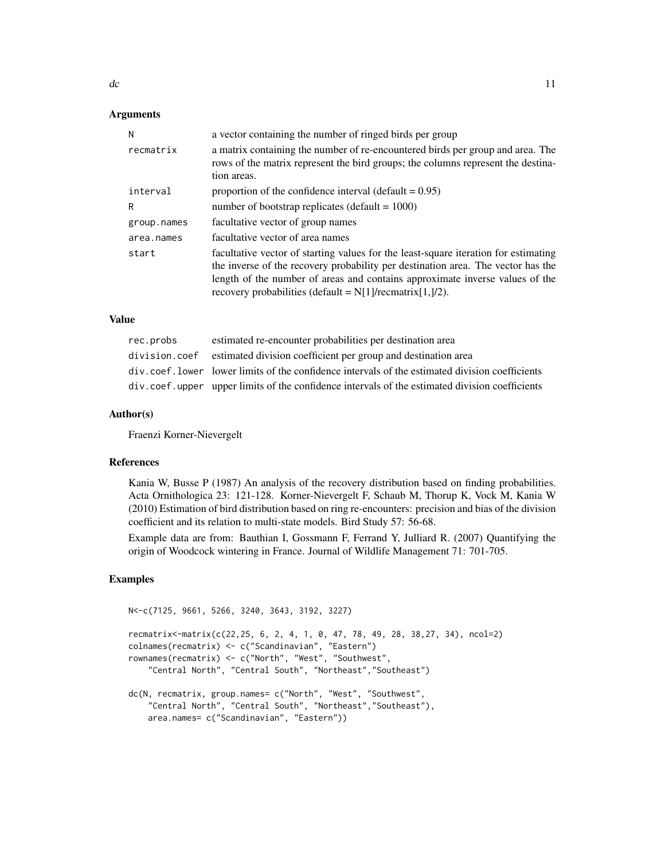# **Arguments**

| N           | a vector containing the number of ringed birds per group                                                                                                                                                                                                                                                                      |
|-------------|-------------------------------------------------------------------------------------------------------------------------------------------------------------------------------------------------------------------------------------------------------------------------------------------------------------------------------|
| recmatrix   | a matrix containing the number of re-encountered birds per group and area. The<br>rows of the matrix represent the bird groups; the columns represent the destina-<br>tion areas.                                                                                                                                             |
| interval    | proportion of the confidence interval (default $= 0.95$ )                                                                                                                                                                                                                                                                     |
| R           | number of bootstrap replicates (default = $1000$ )                                                                                                                                                                                                                                                                            |
| group.names | facultative vector of group names                                                                                                                                                                                                                                                                                             |
| area.names  | facultative vector of area names                                                                                                                                                                                                                                                                                              |
| start       | facultative vector of starting values for the least-square iteration for estimating<br>the inverse of the recovery probability per destination area. The vector has the<br>length of the number of areas and contains approximate inverse values of the<br>recovery probabilities (default = $N[1]/\text{recmatrix}[1,]/2)$ . |

#### Value

| rec.probs | estimated re-encounter probabilities per destination area                                        |
|-----------|--------------------------------------------------------------------------------------------------|
|           | division.coef estimated division coefficient per group and destination area                      |
|           | div, coef, lower lower limits of the confidence intervals of the estimated division coefficients |
|           | div.coef.upper upper limits of the confidence intervals of the estimated division coefficients   |

#### Author(s)

Fraenzi Korner-Nievergelt

#### References

Kania W, Busse P (1987) An analysis of the recovery distribution based on finding probabilities. Acta Ornithologica 23: 121-128. Korner-Nievergelt F, Schaub M, Thorup K, Vock M, Kania W (2010) Estimation of bird distribution based on ring re-encounters: precision and bias of the division coefficient and its relation to multi-state models. Bird Study 57: 56-68.

Example data are from: Bauthian I, Gossmann F, Ferrand Y, Julliard R. (2007) Quantifying the origin of Woodcock wintering in France. Journal of Wildlife Management 71: 701-705.

# Examples

```
N<-c(7125, 9661, 5266, 3240, 3643, 3192, 3227)
recmatrix<-matrix(c(22,25, 6, 2, 4, 1, 0, 47, 78, 49, 28, 38,27, 34), ncol=2)
colnames(recmatrix) <- c("Scandinavian", "Eastern")
rownames(recmatrix) <- c("North", "West", "Southwest",
    "Central North", "Central South", "Northeast","Southeast")
dc(N, recmatrix, group.names= c("North", "West", "Southwest",
    "Central North", "Central South", "Northeast","Southeast"),
    area.names= c("Scandinavian", "Eastern"))
```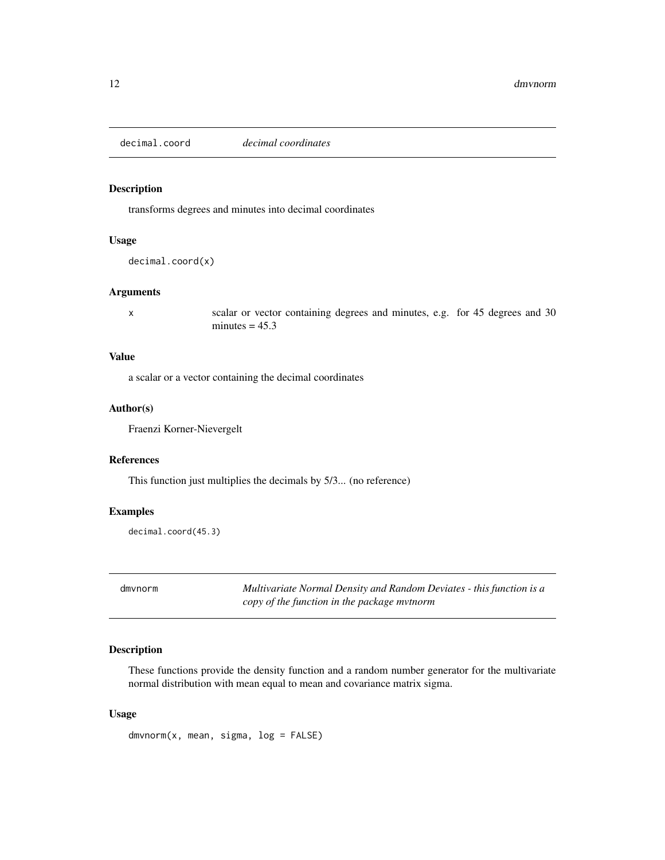<span id="page-11-1"></span><span id="page-11-0"></span>decimal.coord *decimal coordinates*

#### Description

transforms degrees and minutes into decimal coordinates

# Usage

decimal.coord(x)

# Arguments

x scalar or vector containing degrees and minutes, e.g. for 45 degrees and 30 minutes  $= 45.3$ 

# Value

a scalar or a vector containing the decimal coordinates

# Author(s)

Fraenzi Korner-Nievergelt

# References

This function just multiplies the decimals by 5/3... (no reference)

# Examples

decimal.coord(45.3)

dmvnorm *Multivariate Normal Density and Random Deviates - this function is a copy of the function in the package mvtnorm*

# Description

These functions provide the density function and a random number generator for the multivariate normal distribution with mean equal to mean and covariance matrix sigma.

#### Usage

 $d$ mvnorm $(x,$  mean, sigma,  $log =$  FALSE)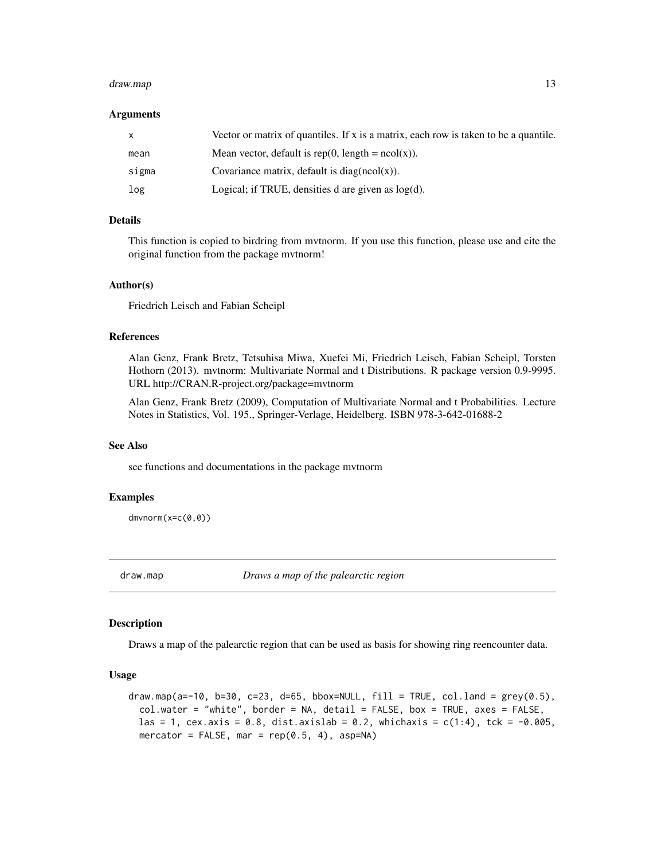#### <span id="page-12-0"></span>draw.map 2012 13 and 2012 13 and 2012 13 and 2012 13 and 2012 13 and 2012 13 and 2012 13 and 2012 13 and 2012 13 and 2012 13 and 2012 13 and 2012 13 and 2012 13 and 2012 13 and 2012 13 and 2012 13 and 2012 13 and 2012 13 a

#### Arguments

| $\mathsf{X}$ | Vector or matrix of quantiles. If x is a matrix, each row is taken to be a quantile. |
|--------------|--------------------------------------------------------------------------------------|
| mean         | Mean vector, default is rep(0, length = $ncol(x)$ ).                                 |
| sigma        | Covariance matrix, default is $diag(ncol(x))$ .                                      |
| log          | Logical; if TRUE, densities d are given as $log(d)$ .                                |

#### Details

This function is copied to birdring from mvtnorm. If you use this function, please use and cite the original function from the package mvtnorm!

#### Author(s)

Friedrich Leisch and Fabian Scheipl

#### References

Alan Genz, Frank Bretz, Tetsuhisa Miwa, Xuefei Mi, Friedrich Leisch, Fabian Scheipl, Torsten Hothorn (2013). mvtnorm: Multivariate Normal and t Distributions. R package version 0.9-9995. URL http://CRAN.R-project.org/package=mvtnorm

Alan Genz, Frank Bretz (2009), Computation of Multivariate Normal and t Probabilities. Lecture Notes in Statistics, Vol. 195., Springer-Verlage, Heidelberg. ISBN 978-3-642-01688-2

#### See Also

see functions and documentations in the package mvtnorm

#### Examples

dmvnorm(x=c(0,0))

draw.map *Draws a map of the palearctic region*

#### **Description**

Draws a map of the palearctic region that can be used as basis for showing ring reencounter data.

# Usage

```
draw.map(a=-10, b=30, c=23, d=65, bbox=NULL, fill = TRUE, colu.land = grey(0.5),
 col.water = "white", border = NA, detail = FALSE, box = TRUE, axes = FALSE,
 las = 1, cex.axis = 0.8, dist.axislab = 0.2, whichaxis = c(1:4), tck = -0.005,
 mercator = FALSE, mar = rep(0.5, 4), asp=NA)
```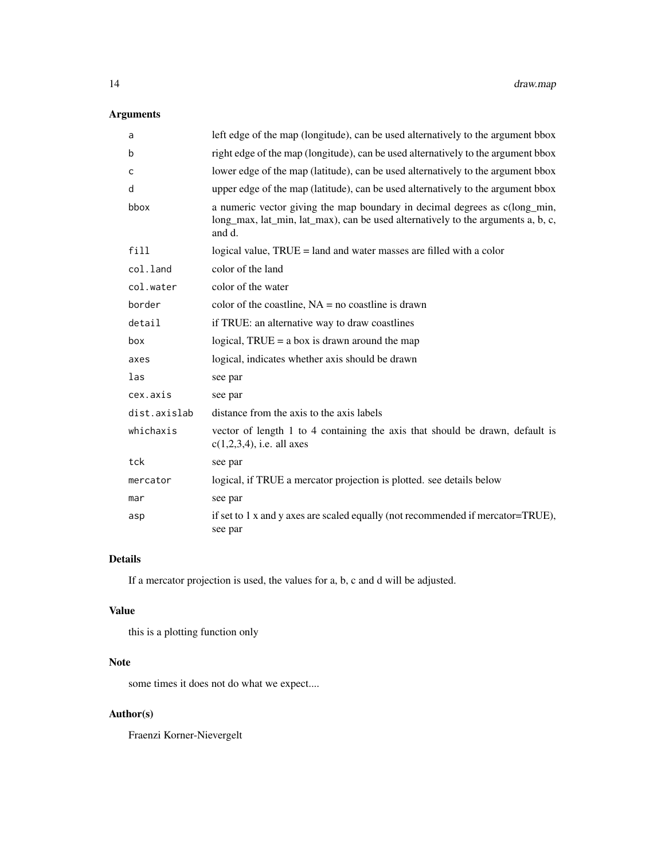# Arguments

| a            | left edge of the map (longitude), can be used alternatively to the argument bbox                                                                                         |
|--------------|--------------------------------------------------------------------------------------------------------------------------------------------------------------------------|
| b            | right edge of the map (longitude), can be used alternatively to the argument bbox                                                                                        |
| C            | lower edge of the map (latitude), can be used alternatively to the argument bbox                                                                                         |
| d            | upper edge of the map (latitude), can be used alternatively to the argument bbox                                                                                         |
| bbox         | a numeric vector giving the map boundary in decimal degrees as c(long_min,<br>long_max, lat_min, lat_max), can be used alternatively to the arguments a, b, c,<br>and d. |
| fill         | logical value, TRUE = land and water masses are filled with a color                                                                                                      |
| col.land     | color of the land                                                                                                                                                        |
| col.water    | color of the water                                                                                                                                                       |
| border       | color of the coastline, $NA = no$ coastline is drawn                                                                                                                     |
| detail       | if TRUE: an alternative way to draw coastlines                                                                                                                           |
| box          | logical, $TRUE = a box$ is drawn around the map                                                                                                                          |
| axes         | logical, indicates whether axis should be drawn                                                                                                                          |
| las          | see par                                                                                                                                                                  |
| cex.axis     | see par                                                                                                                                                                  |
| dist.axislab | distance from the axis to the axis labels                                                                                                                                |
| whichaxis    | vector of length 1 to 4 containing the axis that should be drawn, default is<br>$c(1,2,3,4)$ , i.e. all axes                                                             |
| tck          | see par                                                                                                                                                                  |
| mercator     | logical, if TRUE a mercator projection is plotted. see details below                                                                                                     |
| mar          | see par                                                                                                                                                                  |
| asp          | if set to 1 x and y axes are scaled equally (not recommended if mercator=TRUE),<br>see par                                                                               |

# Details

If a mercator projection is used, the values for a, b, c and d will be adjusted.

#### Value

this is a plotting function only

# Note

some times it does not do what we expect....

# Author(s)

Fraenzi Korner-Nievergelt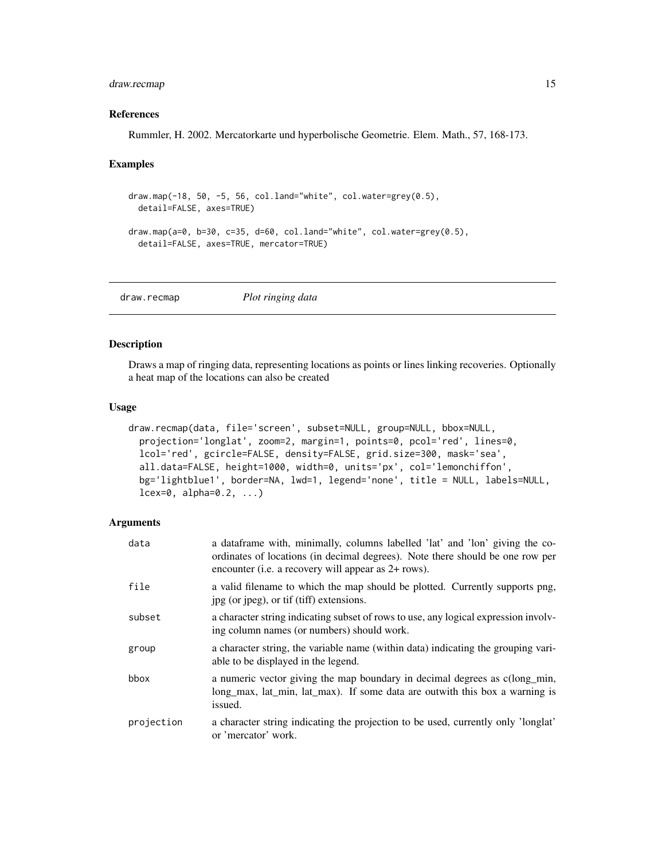# <span id="page-14-0"></span>draw.recmap 15

#### References

Rummler, H. 2002. Mercatorkarte und hyperbolische Geometrie. Elem. Math., 57, 168-173.

#### Examples

```
draw.map(-18, 50, -5, 56, col.land="white", col.water=grey(0.5),
 detail=FALSE, axes=TRUE)
draw.map(a=0, b=30, c=35, d=60, col.land="white", col.water=grey(0.5),
 detail=FALSE, axes=TRUE, mercator=TRUE)
```
draw.recmap *Plot ringing data*

#### Description

Draws a map of ringing data, representing locations as points or lines linking recoveries. Optionally a heat map of the locations can also be created

#### Usage

```
draw.recmap(data, file='screen', subset=NULL, group=NULL, bbox=NULL,
 projection='longlat', zoom=2, margin=1, points=0, pcol='red', lines=0,
  lcol='red', gcircle=FALSE, density=FALSE, grid.size=300, mask='sea',
  all.data=FALSE, height=1000, width=0, units='px', col='lemonchiffon',
 bg='lightblue1', border=NA, lwd=1, legend='none', title = NULL, labels=NULL,
  lcex=0, alpha=0.2, ...)
```
## Arguments

| data       | a dataframe with, minimally, columns labelled 'lat' and 'lon' giving the co-<br>ordinates of locations (in decimal degrees). Note there should be one row per<br>encounter (i.e. a recovery will appear as 2+ rows). |
|------------|----------------------------------------------------------------------------------------------------------------------------------------------------------------------------------------------------------------------|
| file       | a valid filename to which the map should be plotted. Currently supports png,<br>jpg (or jpeg), or tif (tiff) extensions.                                                                                             |
| subset     | a character string indicating subset of rows to use, any logical expression involv-<br>ing column names (or numbers) should work.                                                                                    |
| group      | a character string, the variable name (within data) indicating the grouping vari-<br>able to be displayed in the legend.                                                                                             |
| bbox       | a numeric vector giving the map boundary in decimal degrees as c(long min,<br>long max, lat min, lat max). If some data are outwith this box a warning is<br>issued.                                                 |
| projection | a character string indicating the projection to be used, currently only 'longlat'<br>or 'mercator' work.                                                                                                             |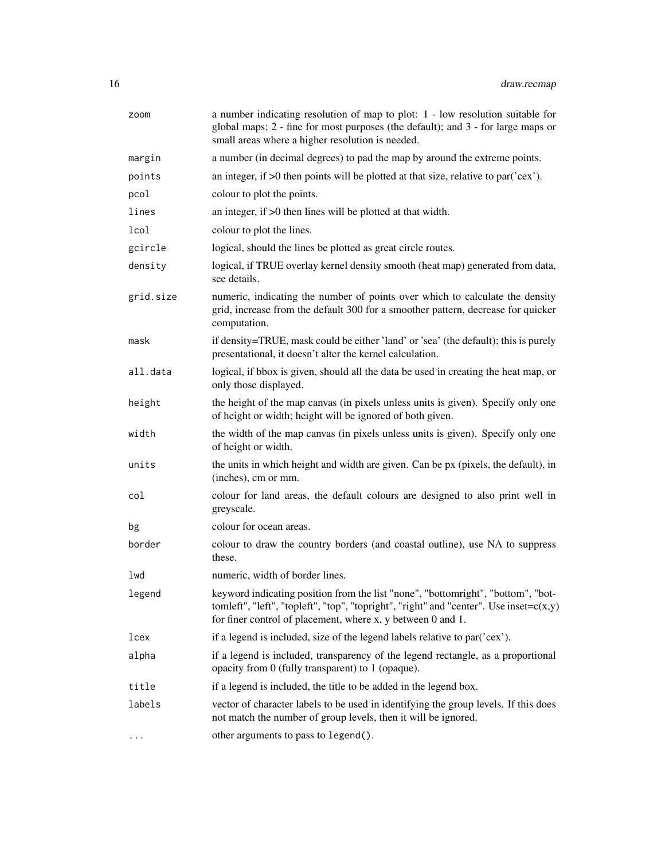| zoom      | a number indicating resolution of map to plot: 1 - low resolution suitable for<br>global maps; 2 - fine for most purposes (the default); and 3 - for large maps or<br>small areas where a higher resolution is needed.                         |  |  |
|-----------|------------------------------------------------------------------------------------------------------------------------------------------------------------------------------------------------------------------------------------------------|--|--|
| margin    | a number (in decimal degrees) to pad the map by around the extreme points.                                                                                                                                                                     |  |  |
| points    | an integer, if $>0$ then points will be plotted at that size, relative to par( $\text{'cex'}$ ).                                                                                                                                               |  |  |
| pcol      | colour to plot the points.                                                                                                                                                                                                                     |  |  |
| lines     | an integer, if $>0$ then lines will be plotted at that width.                                                                                                                                                                                  |  |  |
| lcol      | colour to plot the lines.                                                                                                                                                                                                                      |  |  |
| gcircle   | logical, should the lines be plotted as great circle routes.                                                                                                                                                                                   |  |  |
| density   | logical, if TRUE overlay kernel density smooth (heat map) generated from data,<br>see details.                                                                                                                                                 |  |  |
| grid.size | numeric, indicating the number of points over which to calculate the density<br>grid, increase from the default 300 for a smoother pattern, decrease for quicker<br>computation.                                                               |  |  |
| mask      | if density=TRUE, mask could be either 'land' or 'sea' (the default); this is purely<br>presentational, it doesn't alter the kernel calculation.                                                                                                |  |  |
| all.data  | logical, if bbox is given, should all the data be used in creating the heat map, or<br>only those displayed.                                                                                                                                   |  |  |
| height    | the height of the map canvas (in pixels unless units is given). Specify only one<br>of height or width; height will be ignored of both given.                                                                                                  |  |  |
| width     | the width of the map canvas (in pixels unless units is given). Specify only one<br>of height or width.                                                                                                                                         |  |  |
| units     | the units in which height and width are given. Can be px (pixels, the default), in<br>(inches), cm or mm.                                                                                                                                      |  |  |
| col       | colour for land areas, the default colours are designed to also print well in<br>greyscale.                                                                                                                                                    |  |  |
| bg        | colour for ocean areas.                                                                                                                                                                                                                        |  |  |
| border    | colour to draw the country borders (and coastal outline), use NA to suppress<br>these.                                                                                                                                                         |  |  |
| lwd       | numeric, width of border lines.                                                                                                                                                                                                                |  |  |
| legend    | keyword indicating position from the list "none", "bottomright", "bottom", "bot-<br>tomleft", "left", "topleft", "top", "topright", "right" and "center". Use inset=c(x,y)<br>for finer control of placement, where $x$ , $y$ between 0 and 1. |  |  |
| lcex      | if a legend is included, size of the legend labels relative to par('cex').                                                                                                                                                                     |  |  |
| alpha     | if a legend is included, transparency of the legend rectangle, as a proportional<br>opacity from 0 (fully transparent) to 1 (opaque).                                                                                                          |  |  |
| title     | if a legend is included, the title to be added in the legend box.                                                                                                                                                                              |  |  |
| labels    | vector of character labels to be used in identifying the group levels. If this does<br>not match the number of group levels, then it will be ignored.                                                                                          |  |  |
| $\cdots$  | other arguments to pass to legend().                                                                                                                                                                                                           |  |  |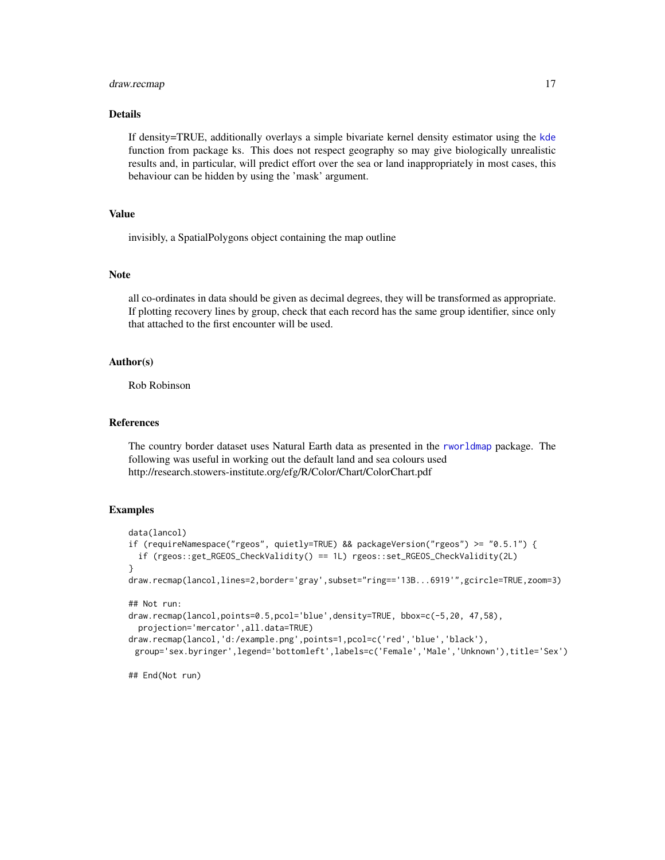#### <span id="page-16-0"></span>draw.recmap 17

## Details

If density=TRUE, additionally overlays a simple bivariate kernel density estimator using the [kde](#page-0-0) function from package ks. This does not respect geography so may give biologically unrealistic results and, in particular, will predict effort over the sea or land inappropriately in most cases, this behaviour can be hidden by using the 'mask' argument.

# Value

invisibly, a SpatialPolygons object containing the map outline

#### Note

all co-ordinates in data should be given as decimal degrees, they will be transformed as appropriate. If plotting recovery lines by group, check that each record has the same group identifier, since only that attached to the first encounter will be used.

#### Author(s)

Rob Robinson

#### References

The country border dataset uses Natural Earth data as presented in the [rworldmap](#page-0-0) package. The following was useful in working out the default land and sea colours used http://research.stowers-institute.org/efg/R/Color/Chart/ColorChart.pdf

#### Examples

```
data(lancol)
if (requireNamespace("rgeos", quietly=TRUE) && packageVersion("rgeos") >= "0.5.1") {
 if (rgeos::get_RGEOS_CheckValidity() == 1L) rgeos::set_RGEOS_CheckValidity(2L)
}
draw.recmap(lancol,lines=2,border='gray',subset="ring=='13B...6919'",gcircle=TRUE,zoom=3)
## Not run:
draw.recmap(lancol,points=0.5,pcol='blue',density=TRUE, bbox=c(-5,20, 47,58),
 projection='mercator',all.data=TRUE)
draw.recmap(lancol,'d:/example.png',points=1,pcol=c('red','blue','black'),
 group='sex.byringer',legend='bottomleft',labels=c('Female','Male','Unknown'),title='Sex')
```
## End(Not run)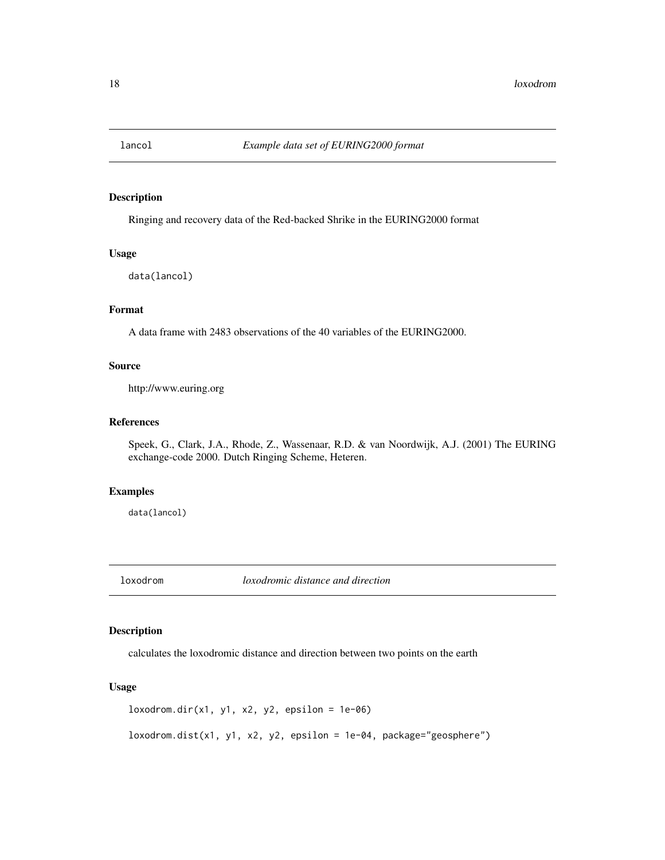<span id="page-17-0"></span>

Ringing and recovery data of the Red-backed Shrike in the EURING2000 format

#### Usage

data(lancol)

# Format

A data frame with 2483 observations of the 40 variables of the EURING2000.

#### Source

http://www.euring.org

# References

Speek, G., Clark, J.A., Rhode, Z., Wassenaar, R.D. & van Noordwijk, A.J. (2001) The EURING exchange-code 2000. Dutch Ringing Scheme, Heteren.

# Examples

data(lancol)

loxodrom *loxodromic distance and direction*

#### Description

calculates the loxodromic distance and direction between two points on the earth

# Usage

 $loxodrom.dir(x1, y1, x2, y2, epsilon = 1e-06)$ 

 $loxodrom.dist(x1, y1, x2, y2, epsilon = 1e-04, package="geosphere")$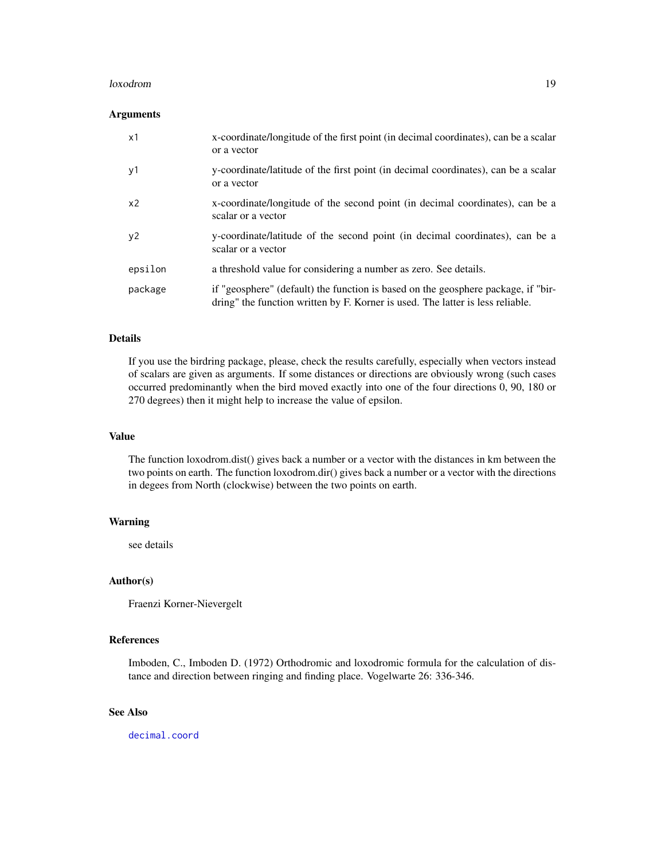#### <span id="page-18-0"></span>loxodrom 19

#### Arguments

| x1             | x-coordinate/longitude of the first point (in decimal coordinates), can be a scalar<br>or a vector                                                                  |
|----------------|---------------------------------------------------------------------------------------------------------------------------------------------------------------------|
| y1             | y-coordinate/latitude of the first point (in decimal coordinates), can be a scalar<br>or a vector                                                                   |
| x <sub>2</sub> | x-coordinate/longitude of the second point (in decimal coordinates), can be a<br>scalar or a vector                                                                 |
| y2             | y-coordinate/latitude of the second point (in decimal coordinates), can be a<br>scalar or a vector                                                                  |
| epsilon        | a threshold value for considering a number as zero. See details.                                                                                                    |
| package        | if "geosphere" (default) the function is based on the geosphere package, if "bir-<br>dring" the function written by F. Korner is used. The latter is less reliable. |

#### Details

If you use the birdring package, please, check the results carefully, especially when vectors instead of scalars are given as arguments. If some distances or directions are obviously wrong (such cases occurred predominantly when the bird moved exactly into one of the four directions 0, 90, 180 or 270 degrees) then it might help to increase the value of epsilon.

# Value

The function loxodrom.dist() gives back a number or a vector with the distances in km between the two points on earth. The function loxodrom.dir() gives back a number or a vector with the directions in degees from North (clockwise) between the two points on earth.

#### Warning

see details

#### Author(s)

Fraenzi Korner-Nievergelt

# References

Imboden, C., Imboden D. (1972) Orthodromic and loxodromic formula for the calculation of distance and direction between ringing and finding place. Vogelwarte 26: 336-346.

# See Also

[decimal.coord](#page-11-1)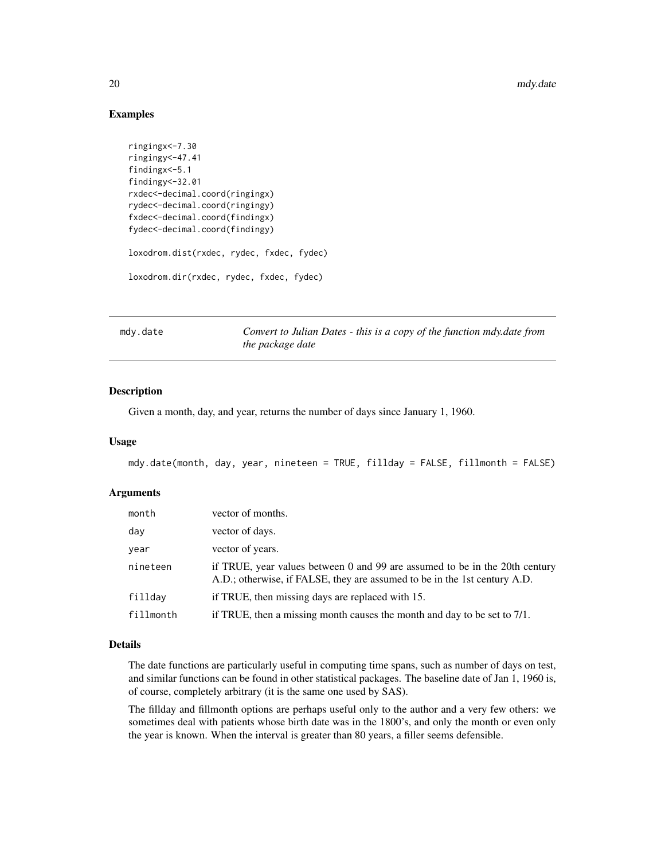#### Examples

```
ringingx<-7.30
ringingy<-47.41
findingx<-5.1
findingy<-32.01
rxdec<-decimal.coord(ringingx)
rydec<-decimal.coord(ringingy)
fxdec<-decimal.coord(findingx)
fydec<-decimal.coord(findingy)
loxodrom.dist(rxdec, rydec, fxdec, fydec)
loxodrom.dir(rxdec, rydec, fxdec, fydec)
```
<span id="page-19-1"></span>mdy.date *Convert to Julian Dates - this is a copy of the function mdy.date from the package date*

#### Description

Given a month, day, and year, returns the number of days since January 1, 1960.

### Usage

```
mdy.date(month, day, year, nineteen = TRUE, fillday = FALSE, fillmonth = FALSE)
```
#### Arguments

| month     | vector of months.                                                                                                                                        |
|-----------|----------------------------------------------------------------------------------------------------------------------------------------------------------|
| day       | vector of days.                                                                                                                                          |
| year      | vector of years.                                                                                                                                         |
| nineteen  | if TRUE, year values between 0 and 99 are assumed to be in the 20th century<br>A.D.; otherwise, if FALSE, they are assumed to be in the 1st century A.D. |
| filldav   | if TRUE, then missing days are replaced with 15.                                                                                                         |
| fillmonth | if TRUE, then a missing month causes the month and day to be set to 7/1.                                                                                 |

# Details

The date functions are particularly useful in computing time spans, such as number of days on test, and similar functions can be found in other statistical packages. The baseline date of Jan 1, 1960 is, of course, completely arbitrary (it is the same one used by SAS).

The fillday and fillmonth options are perhaps useful only to the author and a very few others: we sometimes deal with patients whose birth date was in the 1800's, and only the month or even only the year is known. When the interval is greater than 80 years, a filler seems defensible.

<span id="page-19-0"></span>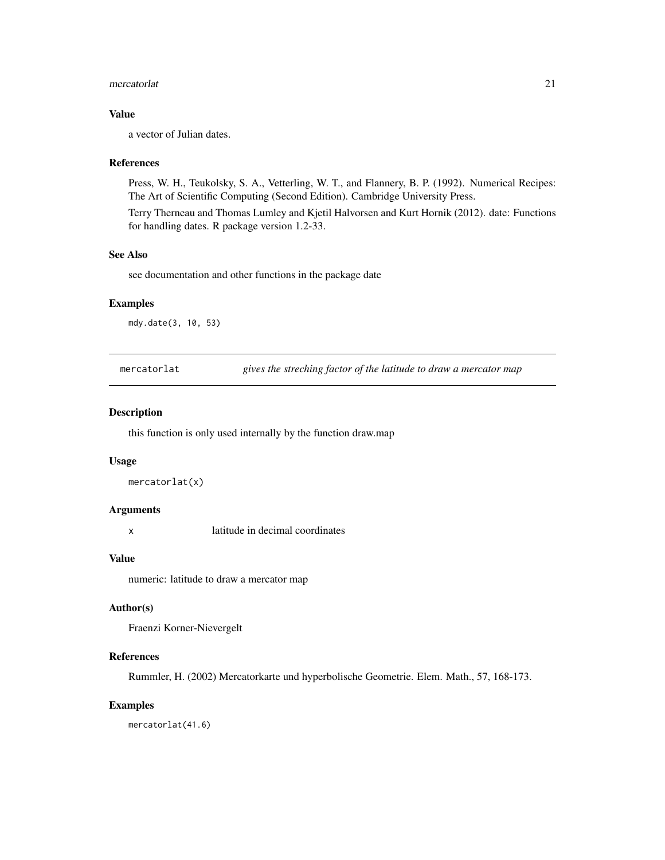#### <span id="page-20-0"></span>mercatorlat 21

# Value

a vector of Julian dates.

#### References

Press, W. H., Teukolsky, S. A., Vetterling, W. T., and Flannery, B. P. (1992). Numerical Recipes: The Art of Scientific Computing (Second Edition). Cambridge University Press.

Terry Therneau and Thomas Lumley and Kjetil Halvorsen and Kurt Hornik (2012). date: Functions for handling dates. R package version 1.2-33.

#### See Also

see documentation and other functions in the package date

# Examples

mdy.date(3, 10, 53)

mercatorlat *gives the streching factor of the latitude to draw a mercator map*

#### Description

this function is only used internally by the function draw.map

#### Usage

```
mercatorlat(x)
```
# Arguments

x latitude in decimal coordinates

#### Value

numeric: latitude to draw a mercator map

# Author(s)

Fraenzi Korner-Nievergelt

#### References

Rummler, H. (2002) Mercatorkarte und hyperbolische Geometrie. Elem. Math., 57, 168-173.

# Examples

mercatorlat(41.6)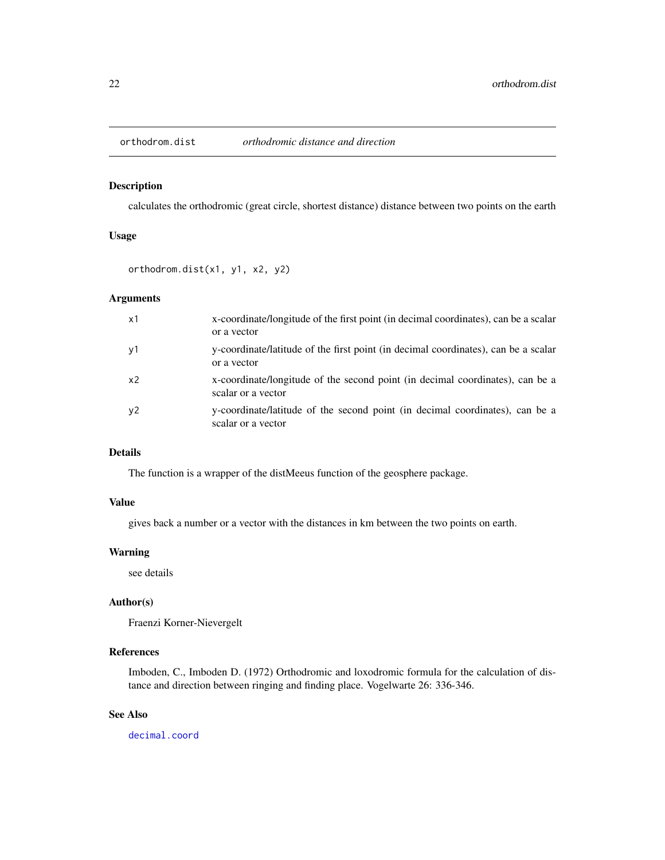<span id="page-21-0"></span>

calculates the orthodromic (great circle, shortest distance) distance between two points on the earth

#### Usage

orthodrom.dist(x1, y1, x2, y2)

# Arguments

| x1             | x-coordinate/longitude of the first point (in decimal coordinates), can be a scalar<br>or a vector  |
|----------------|-----------------------------------------------------------------------------------------------------|
| y1             | y-coordinate/latitude of the first point (in decimal coordinates), can be a scalar<br>or a vector   |
| x <sub>2</sub> | x-coordinate/longitude of the second point (in decimal coordinates), can be a<br>scalar or a vector |
| y2             | y-coordinate/latitude of the second point (in decimal coordinates), can be a<br>scalar or a vector  |

#### Details

The function is a wrapper of the distMeeus function of the geosphere package.

# Value

gives back a number or a vector with the distances in km between the two points on earth.

# Warning

see details

# Author(s)

Fraenzi Korner-Nievergelt

# References

Imboden, C., Imboden D. (1972) Orthodromic and loxodromic formula for the calculation of distance and direction between ringing and finding place. Vogelwarte 26: 336-346.

# See Also

[decimal.coord](#page-11-1)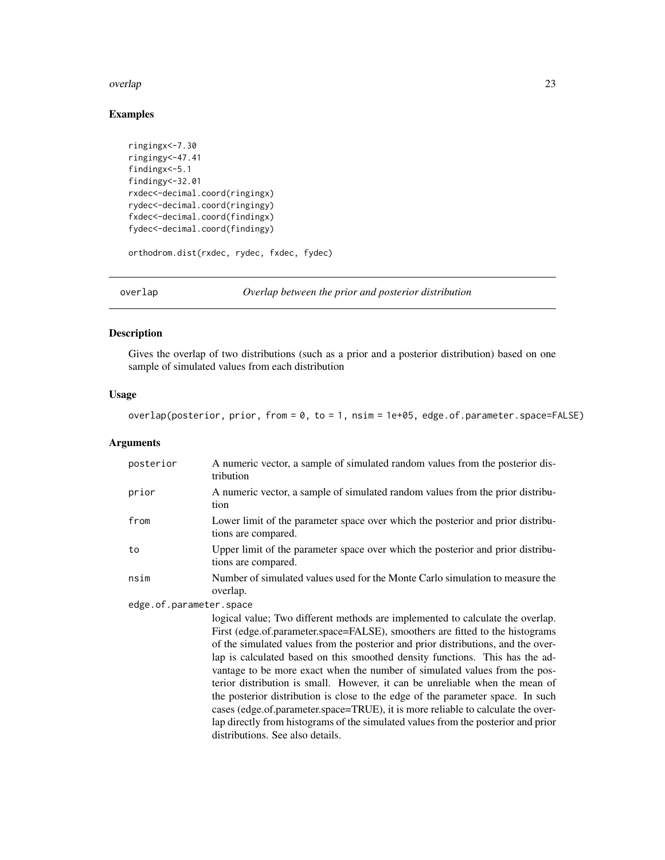#### <span id="page-22-0"></span>overlap 23

# Examples

```
ringingx<-7.30
ringingy<-47.41
findingx<-5.1
findingy<-32.01
rxdec<-decimal.coord(ringingx)
rydec<-decimal.coord(ringingy)
fxdec<-decimal.coord(findingx)
fydec<-decimal.coord(findingy)
orthodrom.dist(rxdec, rydec, fxdec, fydec)
```
overlap *Overlap between the prior and posterior distribution*

# Description

Gives the overlap of two distributions (such as a prior and a posterior distribution) based on one sample of simulated values from each distribution

# Usage

overlap(posterior, prior, from = 0, to = 1, nsim = 1e+05, edge.of.parameter.space=FALSE)

## Arguments

| posterior               | A numeric vector, a sample of simulated random values from the posterior dis-<br>tribution                                                                                                                                                                                                                                                                                                                                                                                                                                                                                                                                                                                                                                                                                                         |  |  |
|-------------------------|----------------------------------------------------------------------------------------------------------------------------------------------------------------------------------------------------------------------------------------------------------------------------------------------------------------------------------------------------------------------------------------------------------------------------------------------------------------------------------------------------------------------------------------------------------------------------------------------------------------------------------------------------------------------------------------------------------------------------------------------------------------------------------------------------|--|--|
| prior                   | A numeric vector, a sample of simulated random values from the prior distribu-<br>tion                                                                                                                                                                                                                                                                                                                                                                                                                                                                                                                                                                                                                                                                                                             |  |  |
| from                    | Lower limit of the parameter space over which the posterior and prior distribu-<br>tions are compared.                                                                                                                                                                                                                                                                                                                                                                                                                                                                                                                                                                                                                                                                                             |  |  |
| to                      | Upper limit of the parameter space over which the posterior and prior distribu-<br>tions are compared.                                                                                                                                                                                                                                                                                                                                                                                                                                                                                                                                                                                                                                                                                             |  |  |
| nsim                    | Number of simulated values used for the Monte Carlo simulation to measure the<br>overlap.                                                                                                                                                                                                                                                                                                                                                                                                                                                                                                                                                                                                                                                                                                          |  |  |
| edge.of.parameter.space |                                                                                                                                                                                                                                                                                                                                                                                                                                                                                                                                                                                                                                                                                                                                                                                                    |  |  |
|                         | logical value; Two different methods are implemented to calculate the overlap.<br>First (edge.of.parameter.space=FALSE), smoothers are fitted to the histograms<br>of the simulated values from the posterior and prior distributions, and the over-<br>lap is calculated based on this smoothed density functions. This has the ad-<br>vantage to be more exact when the number of simulated values from the pos-<br>terior distribution is small. However, it can be unreliable when the mean of<br>the posterior distribution is close to the edge of the parameter space. In such<br>cases (edge.of.parameter.space=TRUE), it is more reliable to calculate the over-<br>lap directly from histograms of the simulated values from the posterior and prior<br>distributions. See also details. |  |  |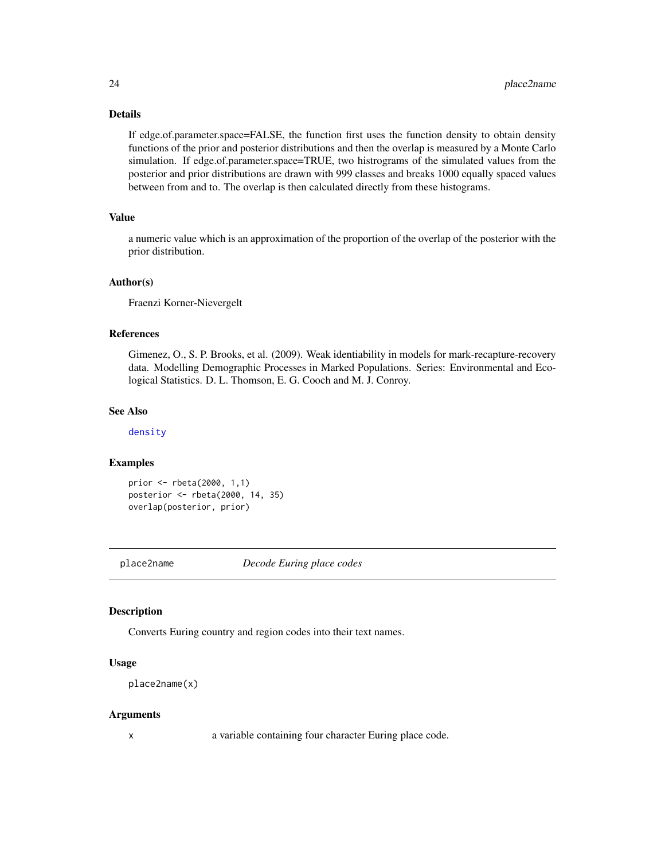# <span id="page-23-0"></span>Details

If edge.of.parameter.space=FALSE, the function first uses the function density to obtain density functions of the prior and posterior distributions and then the overlap is measured by a Monte Carlo simulation. If edge.of.parameter.space=TRUE, two histrograms of the simulated values from the posterior and prior distributions are drawn with 999 classes and breaks 1000 equally spaced values between from and to. The overlap is then calculated directly from these histograms.

# Value

a numeric value which is an approximation of the proportion of the overlap of the posterior with the prior distribution.

#### Author(s)

Fraenzi Korner-Nievergelt

# References

Gimenez, O., S. P. Brooks, et al. (2009). Weak identiability in models for mark-recapture-recovery data. Modelling Demographic Processes in Marked Populations. Series: Environmental and Ecological Statistics. D. L. Thomson, E. G. Cooch and M. J. Conroy.

# See Also

[density](#page-0-0)

#### Examples

```
prior <- rbeta(2000, 1,1)
posterior <- rbeta(2000, 14, 35)
overlap(posterior, prior)
```
place2name *Decode Euring place codes*

#### Description

Converts Euring country and region codes into their text names.

#### Usage

```
place2name(x)
```
#### Arguments

x a variable containing four character Euring place code.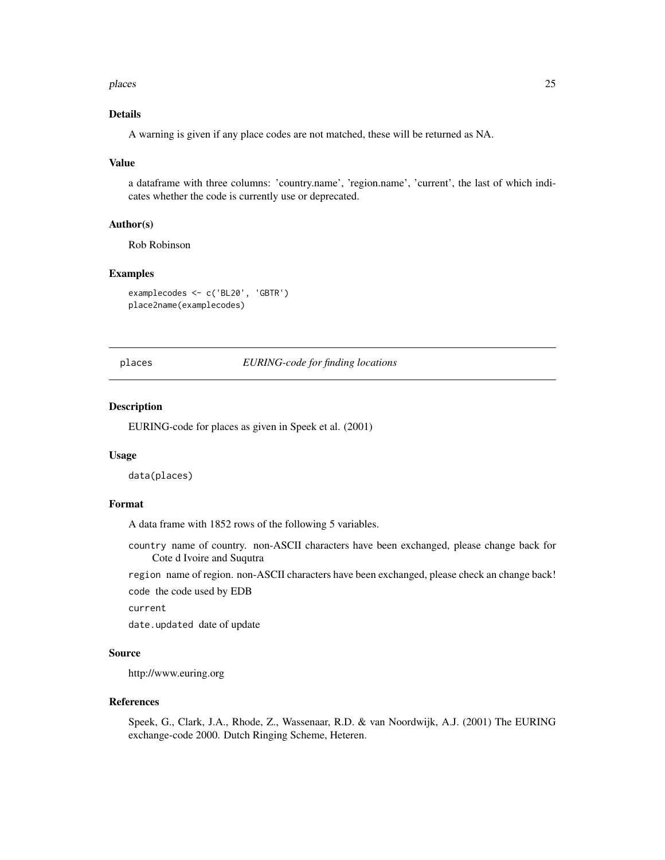#### <span id="page-24-0"></span>places 25

# Details

A warning is given if any place codes are not matched, these will be returned as NA.

#### Value

a dataframe with three columns: 'country.name', 'region.name', 'current', the last of which indicates whether the code is currently use or deprecated.

#### Author(s)

Rob Robinson

# Examples

```
examplecodes <- c('BL20', 'GBTR')
place2name(examplecodes)
```
places *EURING-code for finding locations*

#### Description

EURING-code for places as given in Speek et al. (2001)

#### Usage

data(places)

#### Format

A data frame with 1852 rows of the following 5 variables.

country name of country. non-ASCII characters have been exchanged, please change back for Cote d Ivoire and Suqutra

region name of region. non-ASCII characters have been exchanged, please check an change back!

code the code used by EDB

current

date.updated date of update

#### Source

http://www.euring.org

#### References

Speek, G., Clark, J.A., Rhode, Z., Wassenaar, R.D. & van Noordwijk, A.J. (2001) The EURING exchange-code 2000. Dutch Ringing Scheme, Heteren.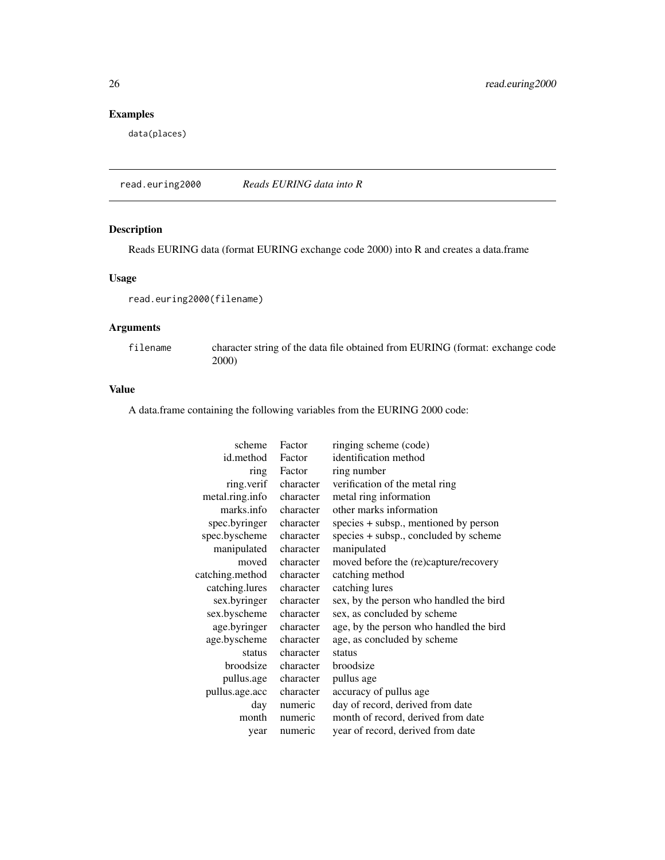# Examples

data(places)

read.euring2000 *Reads EURING data into R*

# Description

Reads EURING data (format EURING exchange code 2000) into R and creates a data.frame

#### Usage

read.euring2000(filename)

# Arguments

filename character string of the data file obtained from EURING (format: exchange code 2000)

#### Value

A data.frame containing the following variables from the EURING 2000 code:

| scheme          | Factor    | ringing scheme (code)                   |
|-----------------|-----------|-----------------------------------------|
| id.method       | Factor    | identification method                   |
| ring            | Factor    | ring number                             |
| ring.verif      | character | verification of the metal ring          |
| metal.ring.info | character | metal ring information                  |
| marks.info      | character | other marks information                 |
| spec.byringer   | character | species + subsp., mentioned by person   |
| spec.byscheme   | character | species + subsp., concluded by scheme   |
| manipulated     | character | manipulated                             |
| moved           | character | moved before the (re)capture/recovery   |
| catching.method | character | catching method                         |
| catching.lures  | character | catching lures                          |
| sex.byringer    | character | sex, by the person who handled the bird |
| sex.byscheme    | character | sex, as concluded by scheme             |
| age.byringer    | character | age, by the person who handled the bird |
| age.byscheme    | character | age, as concluded by scheme             |
| status          | character | status                                  |
| broodsize       | character | broodsize                               |
| pullus.age      | character | pullus age                              |
| pullus.age.acc  | character | accuracy of pullus age                  |
| day             | numeric   | day of record, derived from date        |
| month           | numeric   | month of record, derived from date      |
| year            | numeric   | year of record, derived from date       |

<span id="page-25-0"></span>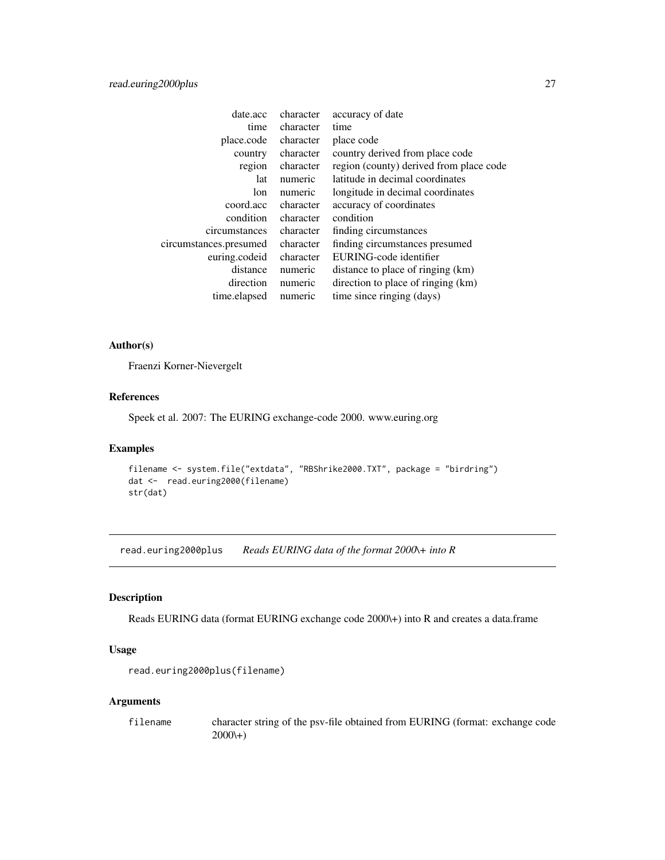# <span id="page-26-0"></span>read.euring2000plus 27

| date.acc               | character | accuracy of date                        |
|------------------------|-----------|-----------------------------------------|
| time                   | character | time                                    |
| place.code             | character | place code                              |
| country                | character | country derived from place code         |
| region                 | character | region (county) derived from place code |
| lat                    | numeric   | latitude in decimal coordinates         |
| lon                    | numeric   | longitude in decimal coordinates        |
| coord.acc              | character | accuracy of coordinates                 |
| condition              | character | condition                               |
| circumstances          | character | finding circumstances                   |
| circumstances.presumed | character | finding circumstances presumed          |
| euring.codeid          | character | EURING-code identifier                  |
| distance               | numeric   | distance to place of ringing (km)       |
| direction              | numeric   | direction to place of ringing (km)      |
| time.elapsed           | numeric   | time since ringing (days)               |
|                        |           |                                         |

# Author(s)

Fraenzi Korner-Nievergelt

# References

Speek et al. 2007: The EURING exchange-code 2000. www.euring.org

# Examples

```
filename <- system.file("extdata", "RBShrike2000.TXT", package = "birdring")
dat <- read.euring2000(filename)
str(dat)
```
read.euring2000plus *Reads EURING data of the format 2000\+ into R*

# Description

Reads EURING data (format EURING exchange code 2000\+) into R and creates a data.frame

# Usage

```
read.euring2000plus(filename)
```
# Arguments

filename character string of the psv-file obtained from EURING (format: exchange code  $2000(+)$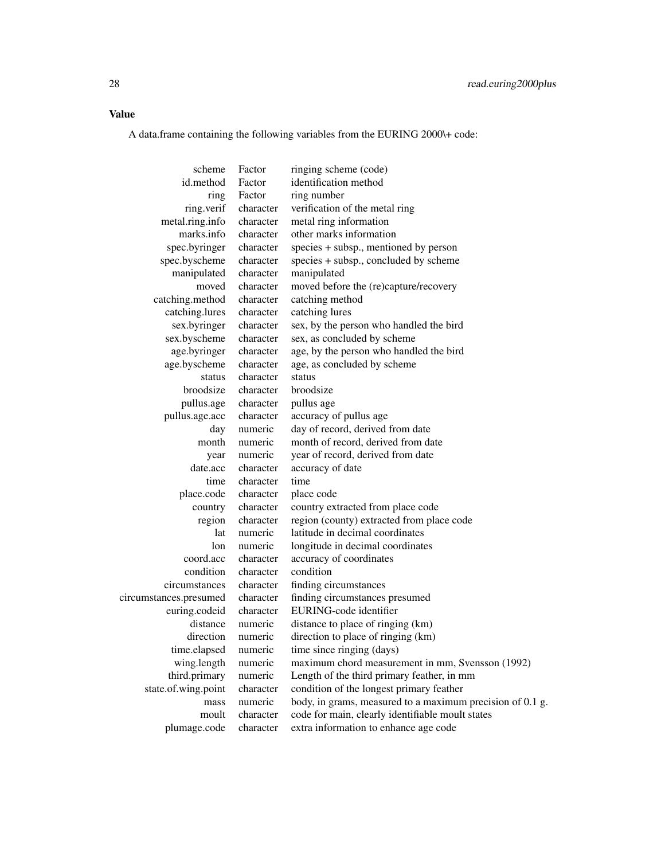# Value

A data.frame containing the following variables from the EURING 2000\+ code:

scheme Factor ringing scheme (code) id.method Factor identification method ring Factor ring number ring.verif character verification of the metal ring metal.ring.info character metal ring information marks.info character other marks information spec.byringer character species + subsp., mentioned by person spec.byscheme character species + subsp., concluded by scheme manipulated character manipulated moved character moved before the (re)capture/recovery catching.method character catching method catching.lures character catching lures sex.byringer character sex, by the person who handled the bird sex.byscheme character sex, as concluded by scheme age.byringer character age, by the person who handled the bird age.byscheme character age, as concluded by scheme status character status broodsize character broodsize pullus.age character pullus age pullus.age.acc character accuracy of pullus age day numeric day of record, derived from date month numeric month of record, derived from date year numeric year of record, derived from date date.acc character accuracy of date time character time place.code character place code country character country extracted from place code region character region (county) extracted from pla region character region (county) extracted from place code lat numeric latitude in decimal coordinates lon numeric longitude in decimal coordinates coord.acc character accuracy of coordinates condition character condition circumstances character finding circumstances circumstances.presumed character finding circumstances presumed euring.codeid character EURING-code identifier distance numeric distance to place of ringing (km) direction numeric direction to place of ringing (km) time.elapsed numeric time since ringing (days) wing.length numeric maximum chord measurement in mm, Svensson (1992) third.primary numeric Length of the third primary feather, in mm state.of.wing.point character condition of the longest primary feather mass numeric body, in grams, measured to a maximum precision of 0.1 g. moult character code for main, clearly identifiable moult states plumage.code character extra information to enhance age code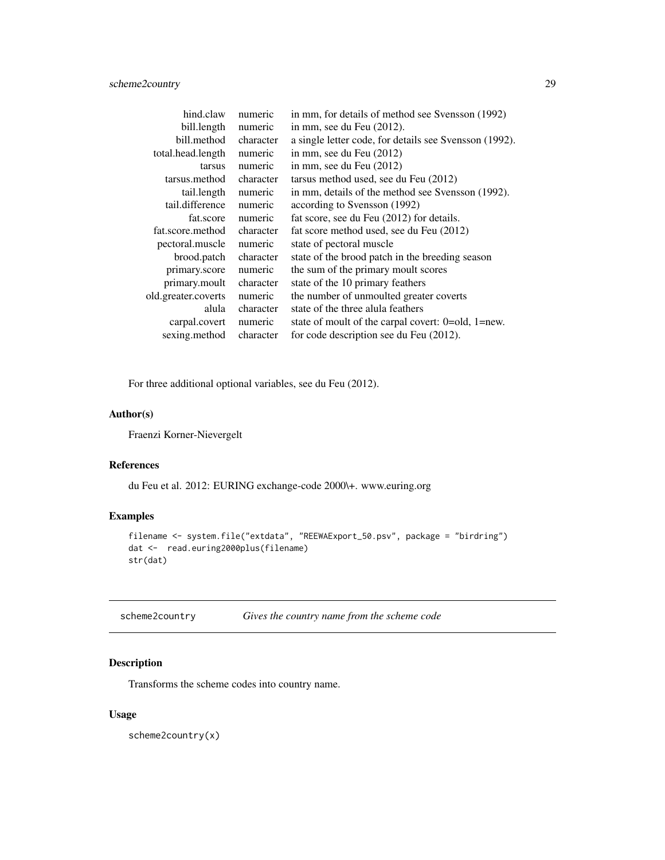<span id="page-28-0"></span>

| hind.claw           | numeric   | in mm, for details of method see Svensson (1992)       |
|---------------------|-----------|--------------------------------------------------------|
| bill.length         | numeric   | in mm, see du Feu $(2012)$ .                           |
| bill.method         | character | a single letter code, for details see Svensson (1992). |
| total.head.length   | numeric   | in mm, see du Feu (2012)                               |
| tarsus              | numeric   | in mm, see du Feu (2012)                               |
| tarsus.method       | character | tarsus method used, see du Feu (2012)                  |
| tail.length         | numeric   | in mm, details of the method see Svensson (1992).      |
| tail.difference     | numeric   | according to Svensson (1992)                           |
| fat.score           | numeric   | fat score, see du Feu (2012) for details.              |
| fat.score.method    | character | fat score method used, see du Feu (2012)               |
| pectoral.muscle     | numeric   | state of pectoral muscle                               |
| brood.patch         | character | state of the brood patch in the breeding season        |
| primary.score       | numeric   | the sum of the primary moult scores                    |
| primary.moult       | character | state of the 10 primary feathers                       |
| old.greater.coverts | numeric   | the number of unmoulted greater coverts                |
| alula               | character | state of the three alula feathers                      |
| carpal.covert       | numeric   | state of moult of the carpal covert: 0=old, 1=new.     |
| sexing.method       | character | for code description see du Feu (2012).                |

For three additional optional variables, see du Feu (2012).

# Author(s)

Fraenzi Korner-Nievergelt

#### References

du Feu et al. 2012: EURING exchange-code 2000\+. www.euring.org

# Examples

```
filename <- system.file("extdata", "REEWAExport_50.psv", package = "birdring")
dat <- read.euring2000plus(filename)
str(dat)
```
<span id="page-28-1"></span>scheme2country *Gives the country name from the scheme code*

# Description

Transforms the scheme codes into country name.

# Usage

scheme2country(x)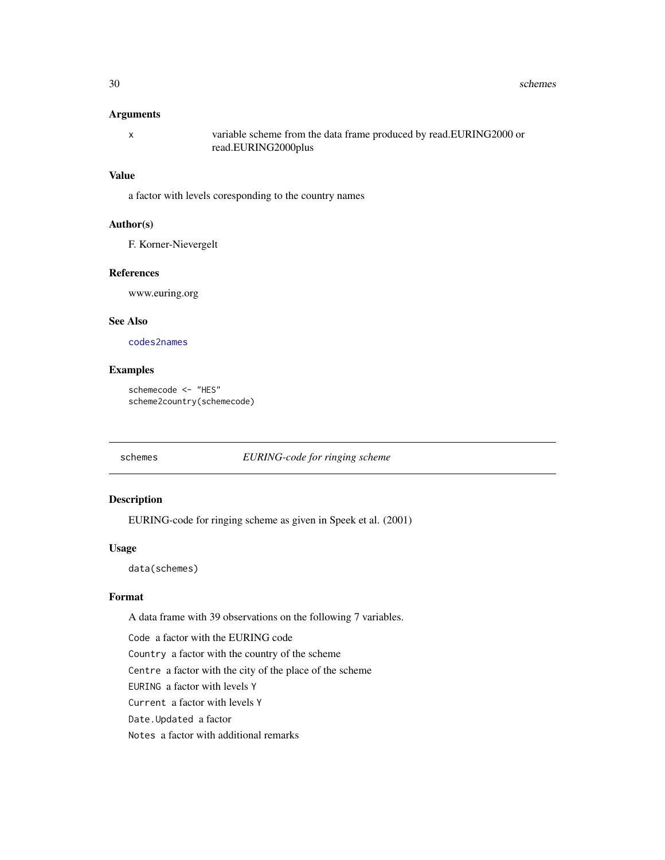# <span id="page-29-0"></span>Arguments

| variable scheme from the data frame produced by read.EURING2000 or |
|--------------------------------------------------------------------|
| read.EURING2000plus                                                |

# Value

a factor with levels coresponding to the country names

# Author(s)

F. Korner-Nievergelt

#### References

www.euring.org

# See Also

[codes2names](#page-6-1)

# Examples

```
schemecode <- "HES"
scheme2country(schemecode)
```
# schemes *EURING-code for ringing scheme*

# Description

EURING-code for ringing scheme as given in Speek et al. (2001)

#### Usage

data(schemes)

# Format

A data frame with 39 observations on the following 7 variables.

Code a factor with the EURING code Country a factor with the country of the scheme Centre a factor with the city of the place of the scheme EURING a factor with levels Y Current a factor with levels Y Date.Updated a factor Notes a factor with additional remarks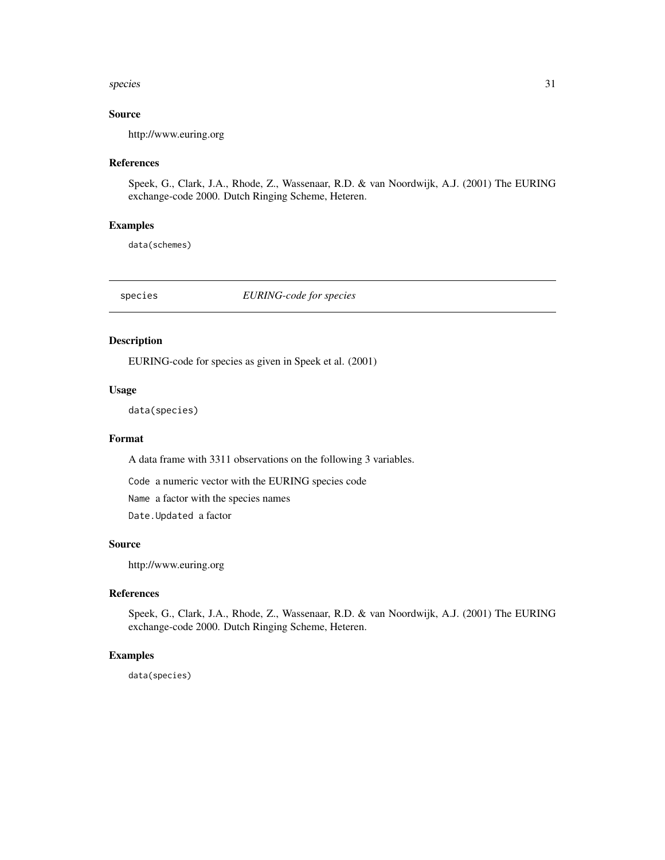#### <span id="page-30-0"></span>species 31

# Source

http://www.euring.org

#### References

Speek, G., Clark, J.A., Rhode, Z., Wassenaar, R.D. & van Noordwijk, A.J. (2001) The EURING exchange-code 2000. Dutch Ringing Scheme, Heteren.

#### Examples

data(schemes)

species *EURING-code for species*

# Description

EURING-code for species as given in Speek et al. (2001)

#### Usage

data(species)

#### Format

A data frame with 3311 observations on the following 3 variables.

Code a numeric vector with the EURING species code

Name a factor with the species names

Date.Updated a factor

#### Source

http://www.euring.org

# References

Speek, G., Clark, J.A., Rhode, Z., Wassenaar, R.D. & van Noordwijk, A.J. (2001) The EURING exchange-code 2000. Dutch Ringing Scheme, Heteren.

#### Examples

data(species)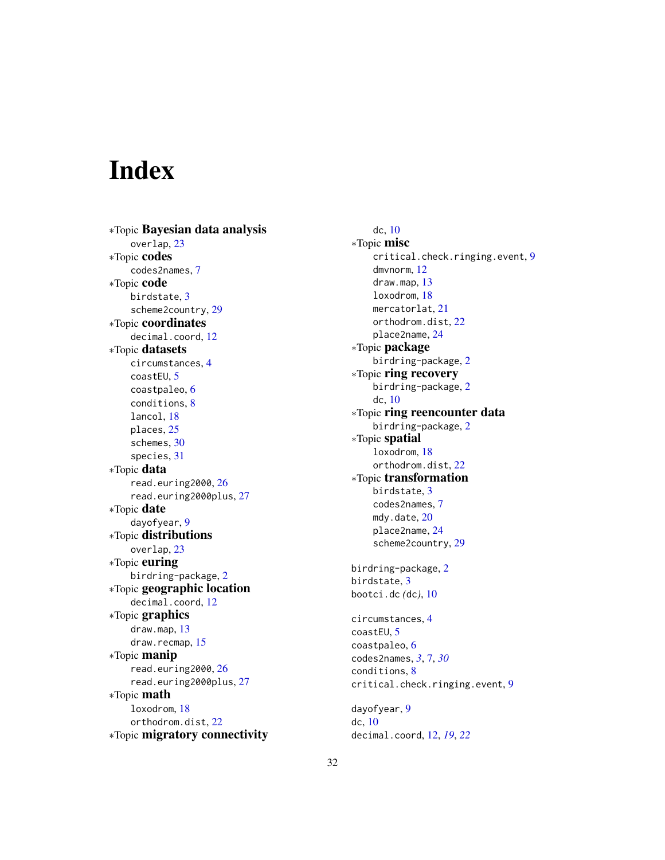# <span id="page-31-0"></span>Index

∗Topic Bayesian data analysis overlap, [23](#page-22-0) ∗Topic codes codes2names, [7](#page-6-0) ∗Topic code birdstate, [3](#page-2-0) scheme2country, [29](#page-28-0) ∗Topic coordinates decimal.coord, [12](#page-11-0) ∗Topic datasets circumstances, [4](#page-3-0) coastEU, [5](#page-4-0) coastpaleo, [6](#page-5-0) conditions, [8](#page-7-0) lancol, [18](#page-17-0) places, [25](#page-24-0) schemes, [30](#page-29-0) species, [31](#page-30-0) ∗Topic data read.euring2000, [26](#page-25-0) read.euring2000plus, [27](#page-26-0) ∗Topic date dayofyear, [9](#page-8-0) ∗Topic distributions overlap, [23](#page-22-0) ∗Topic euring birdring-package, [2](#page-1-0) ∗Topic geographic location decimal.coord, [12](#page-11-0) ∗Topic graphics draw.map, [13](#page-12-0) draw.recmap, [15](#page-14-0) ∗Topic manip read.euring2000, [26](#page-25-0) read.euring2000plus, [27](#page-26-0) ∗Topic math loxodrom, [18](#page-17-0) orthodrom.dist, [22](#page-21-0) ∗Topic migratory connectivity

dc, [10](#page-9-0) ∗Topic misc critical.check.ringing.event, [9](#page-8-0) dmvnorm, [12](#page-11-0) draw.map, [13](#page-12-0) loxodrom, [18](#page-17-0) mercatorlat, [21](#page-20-0) orthodrom.dist, [22](#page-21-0) place2name, [24](#page-23-0) ∗Topic package birdring-package, [2](#page-1-0) ∗Topic ring recovery birdring-package, [2](#page-1-0) dc, [10](#page-9-0) ∗Topic ring reencounter data birdring-package, [2](#page-1-0) ∗Topic spatial loxodrom, [18](#page-17-0) orthodrom.dist, [22](#page-21-0) ∗Topic transformation birdstate, [3](#page-2-0) codes2names, [7](#page-6-0) mdy.date, [20](#page-19-0) place2name, [24](#page-23-0) scheme2country, [29](#page-28-0) birdring-package, [2](#page-1-0) birdstate, [3](#page-2-0) bootci.dc *(*dc*)*, [10](#page-9-0) circumstances, [4](#page-3-0) coastEU, [5](#page-4-0) coastpaleo, [6](#page-5-0) codes2names, *[3](#page-2-0)*, [7,](#page-6-0) *[30](#page-29-0)* conditions, [8](#page-7-0) critical.check.ringing.event, [9](#page-8-0) dayofyear, [9](#page-8-0) dc, [10](#page-9-0) decimal.coord, [12,](#page-11-0) *[19](#page-18-0)*, *[22](#page-21-0)*